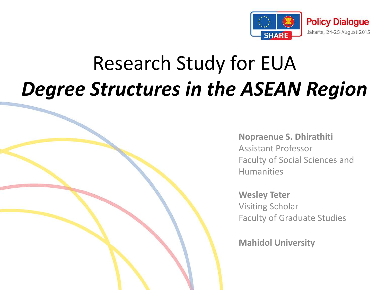

### Research Study for EUA *Degree Structures in the ASEAN Region*

**Nopraenue S. Dhirathiti**  Assistant Professor Faculty of Social Sciences and Humanities

**Wesley Teter** Visiting Scholar Faculty of Graduate Studies

**Mahidol University**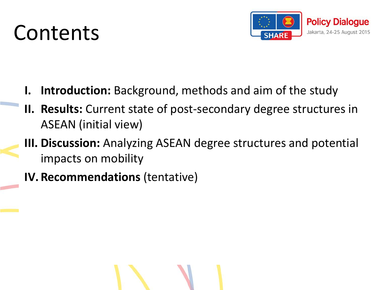### Contents



- **Introduction:** Background, methods and aim of the study
- **II. Results:** Current state of post-secondary degree structures in ASEAN (initial view)
- **III. Discussion:** Analyzing ASEAN degree structures and potential impacts on mobility
- **IV. Recommendations** (tentative)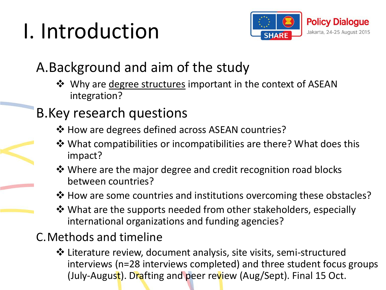## I. Introduction



### A.Background and aim of the study

 $\dots$  Why are degree structures important in the context of ASEAN integration?

### B.Key research questions

- $\triangle$  How are degrees defined across ASEAN countries?
- What compatibilities or incompatibilities are there? What does this impact?
- **\*** Where are the major degree and credit recognition road blocks between countries?
- **\*** How are some countries and institutions overcoming these obstacles?
- $\dots$  What are the supports needed from other stakeholders, especially international organizations and funding agencies?

### C.Methods and timeline

 Literature review, document analysis, site visits, semi-structured interviews (n=28 interviews completed) and three student focus groups (July-August). Drafting and peer review (Aug/Sept). Final 15 Oct.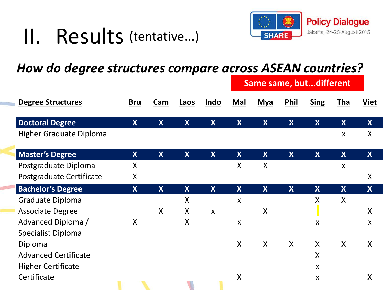#### II. Results (tentative...)



#### *How do degree structures compare across ASEAN countries?*

| <b>Degree Structures</b>       | <b>Bru</b>                | <b>Cam</b>   | Laos                    | Indo                      | <b>Same same, butdifferent</b> |                         |                  |                           |                           |                    |
|--------------------------------|---------------------------|--------------|-------------------------|---------------------------|--------------------------------|-------------------------|------------------|---------------------------|---------------------------|--------------------|
|                                |                           |              |                         |                           | Mal                            | <b>Mya</b>              | Phil             | <b>Sing</b>               | <b>Tha</b>                | <b>Viet</b>        |
| <b>Doctoral Degree</b>         | $\boldsymbol{X}$          | X            | X                       | $\boldsymbol{X}$          | X                              | X                       | X                | $\boldsymbol{X}$          | X                         | X                  |
| <b>Higher Graduate Diploma</b> |                           |              |                         |                           |                                |                         |                  |                           | X                         | X                  |
| <b>Master's Degree</b>         | X                         | $\mathbf{X}$ | $\boldsymbol{X}$        | $\boldsymbol{X}$          | $\boldsymbol{X}$               | $\boldsymbol{X}$        | $\boldsymbol{X}$ | $\boldsymbol{X}$          | $\boldsymbol{\mathsf{X}}$ | $\boldsymbol{X}$   |
| Postgraduate Diploma           | X                         |              |                         |                           | X                              | X                       |                  |                           | $\mathsf{x}$              |                    |
| Postgraduate Certificate       | X                         |              |                         |                           |                                |                         |                  |                           |                           | $\pmb{\mathsf{X}}$ |
| <b>Bachelor's Degree</b>       | $\boldsymbol{X}$          | $\mathsf{X}$ | $\overline{\mathsf{X}}$ | $\boldsymbol{X}$          | $\mathbf{X}$                   | $\overline{\mathsf{X}}$ | $\boldsymbol{X}$ | $\boldsymbol{X}$          | $\boldsymbol{X}$          | $\boldsymbol{X}$   |
| Graduate Diploma               |                           |              | $\sf X$                 |                           | $\mathsf{x}$                   |                         |                  | X                         | $\mathsf{X}$              |                    |
| <b>Associate Degree</b>        |                           | X            | X                       | $\boldsymbol{\mathsf{X}}$ |                                | X                       |                  |                           |                           | $\sf X$            |
| Advanced Diploma /             | $\boldsymbol{\mathsf{X}}$ |              | $\sf X$                 |                           | $\boldsymbol{\mathsf{X}}$      |                         |                  | $\boldsymbol{\mathsf{X}}$ |                           | $\pmb{\mathsf{X}}$ |
| <b>Specialist Diploma</b>      |                           |              |                         |                           |                                |                         |                  |                           |                           |                    |
| Diploma                        |                           |              |                         |                           | X                              | $\boldsymbol{X}$        | $\mathsf{X}$     | $\mathsf{X}$              | $\boldsymbol{X}$          | X                  |
| <b>Advanced Certificate</b>    |                           |              |                         |                           |                                |                         |                  | X                         |                           |                    |
| <b>Higher Certificate</b>      |                           |              |                         |                           |                                |                         |                  | $\boldsymbol{X}$          |                           |                    |
| Certificate                    |                           |              |                         |                           | X                              |                         |                  | $\boldsymbol{X}$          |                           | X                  |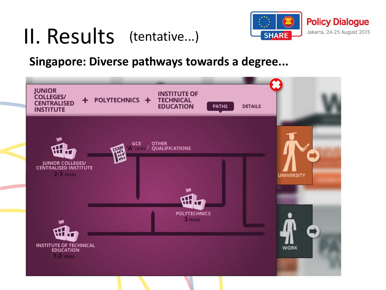#### II. Results (tentative...)



#### **Singapore: Diverse pathways towards a degree...**

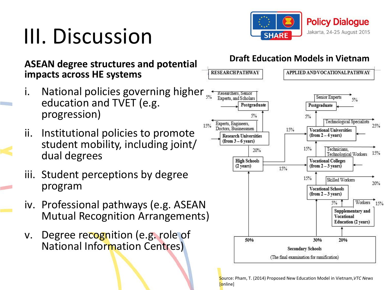## III. Discussion



#### **ASEAN degree structures and potential impacts across HE systems**

- National policies governing higher education and TVET (e.g. progression)
- ii. Institutional policies to promote student mobility, including joint/ dual degrees
- iii. Student perceptions by degree program
- iv. Professional pathways (e.g. ASEAN Mutual Recognition Arrangements)
- v. Degree recognition (e.g. role of National Information Centres)



Source: Pham, T. (2014) Proposed New Education Model in Vietnam,*VTC News*  [online]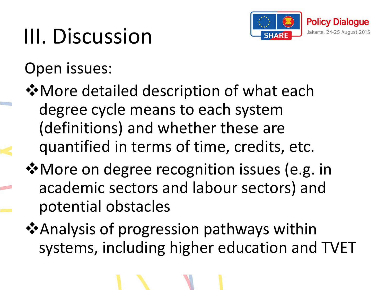

# III. Discussion

Open issues:

 $\dots$  More detailed description of what each degree cycle means to each system (definitions) and whether these are quantified in terms of time, credits, etc.

**\*** More on degree recognition issues (e.g. in academic sectors and labour sectors) and potential obstacles

 $\triangle$  Analysis of progression pathways within systems, including higher education and TVET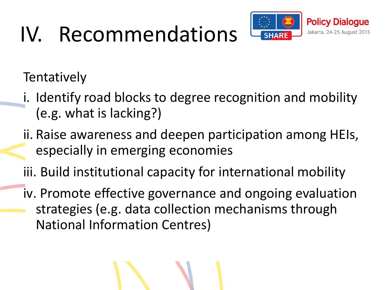# IV. Recommendations



**Tentatively** 

- i. Identify road blocks to degree recognition and mobility (e.g. what is lacking?)
- ii. Raise awareness and deepen participation among HEIs, especially in emerging economies
- iii. Build institutional capacity for international mobility
- iv. Promote effective governance and ongoing evaluation strategies (e.g. data collection mechanisms through National Information Centres)